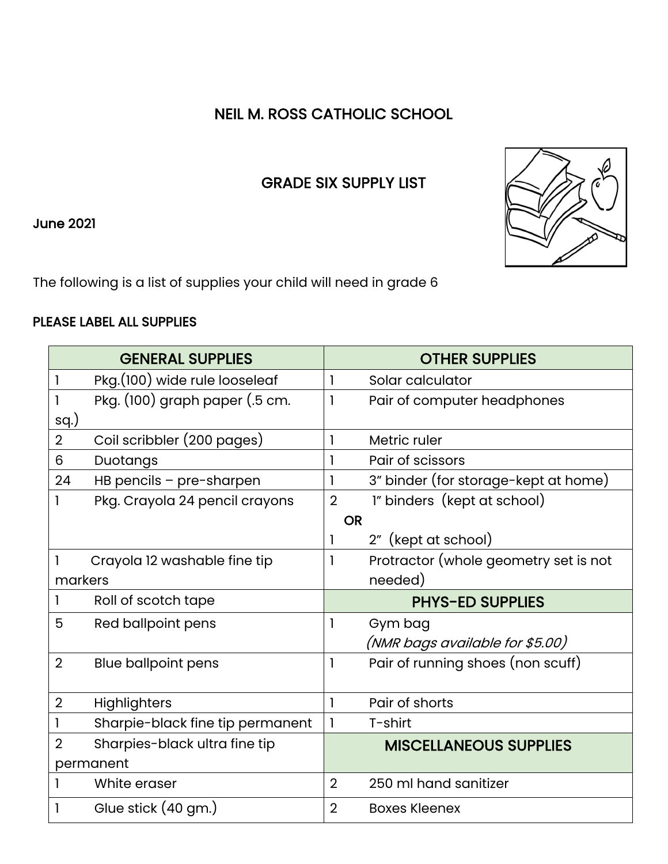## NEIL M. ROSS CATHOLIC SCHOOL

## GRADE SIX SUPPLY LIST

June 2021

The following is a list of supplies your child will need in grade 6

## PLEASE LABEL ALL SUPPLIES

|                | <b>GENERAL SUPPLIES</b>          |                | <b>OTHER SUPPLIES</b>                 |
|----------------|----------------------------------|----------------|---------------------------------------|
|                | Pkg.(100) wide rule looseleaf    | 1              | Solar calculator                      |
|                | Pkg. (100) graph paper (.5 cm.   | $\mathbf{I}$   | Pair of computer headphones           |
| sq.)           |                                  |                |                                       |
| $\overline{2}$ | Coil scribbler (200 pages)       | 1              | Metric ruler                          |
| 6              | Duotangs                         | 1              | Pair of scissors                      |
| 24             | HB pencils - pre-sharpen         | 1              | 3" binder (for storage-kept at home)  |
|                | Pkg. Crayola 24 pencil crayons   | $\overline{2}$ | 1" binders (kept at school)           |
|                |                                  | <b>OR</b>      |                                       |
|                |                                  | 1              | 2" (kept at school)                   |
|                | Crayola 12 washable fine tip     | 1              | Protractor (whole geometry set is not |
| markers        |                                  |                | needed)                               |
|                | Roll of scotch tape              |                | <b>PHYS-ED SUPPLIES</b>               |
| 5              | Red ballpoint pens               | 1              | Gym bag                               |
|                |                                  |                | (NMR bags available for \$5.00)       |
| $\overline{2}$ | <b>Blue ballpoint pens</b>       | $\mathbf{I}$   | Pair of running shoes (non scuff)     |
|                |                                  |                |                                       |
| $\overline{2}$ | Highlighters                     | $\mathbf{I}$   | Pair of shorts                        |
|                | Sharpie-black fine tip permanent |                | T-shirt                               |
| 2              | Sharpies-black ultra fine tip    |                | <b>MISCELLANEOUS SUPPLIES</b>         |
| permanent      |                                  |                |                                       |
|                | White eraser                     | $\overline{2}$ | 250 ml hand sanitizer                 |
|                | Glue stick (40 gm.)              | $\overline{2}$ | <b>Boxes Kleenex</b>                  |